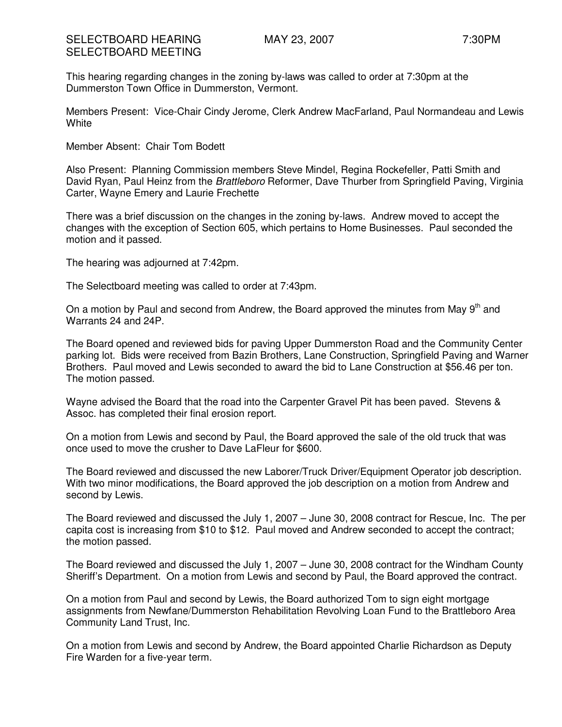## SELECTBOARD HEARING MAY 23, 2007 THEARING MAY 23, 2007 SELECTBOARD MEETING

This hearing regarding changes in the zoning by-laws was called to order at 7:30pm at the Dummerston Town Office in Dummerston, Vermont.

Members Present: Vice-Chair Cindy Jerome, Clerk Andrew MacFarland, Paul Normandeau and Lewis **White** 

Member Absent: Chair Tom Bodett

Also Present: Planning Commission members Steve Mindel, Regina Rockefeller, Patti Smith and David Ryan, Paul Heinz from the Brattleboro Reformer, Dave Thurber from Springfield Paving, Virginia Carter, Wayne Emery and Laurie Frechette

There was a brief discussion on the changes in the zoning by-laws. Andrew moved to accept the changes with the exception of Section 605, which pertains to Home Businesses. Paul seconded the motion and it passed.

The hearing was adjourned at 7:42pm.

The Selectboard meeting was called to order at 7:43pm.

On a motion by Paul and second from Andrew, the Board approved the minutes from May  $9<sup>th</sup>$  and Warrants 24 and 24P.

The Board opened and reviewed bids for paving Upper Dummerston Road and the Community Center parking lot. Bids were received from Bazin Brothers, Lane Construction, Springfield Paving and Warner Brothers. Paul moved and Lewis seconded to award the bid to Lane Construction at \$56.46 per ton. The motion passed.

Wayne advised the Board that the road into the Carpenter Gravel Pit has been paved. Stevens & Assoc. has completed their final erosion report.

On a motion from Lewis and second by Paul, the Board approved the sale of the old truck that was once used to move the crusher to Dave LaFleur for \$600.

The Board reviewed and discussed the new Laborer/Truck Driver/Equipment Operator job description. With two minor modifications, the Board approved the job description on a motion from Andrew and second by Lewis.

The Board reviewed and discussed the July 1, 2007 – June 30, 2008 contract for Rescue, Inc. The per capita cost is increasing from \$10 to \$12. Paul moved and Andrew seconded to accept the contract; the motion passed.

The Board reviewed and discussed the July 1, 2007 – June 30, 2008 contract for the Windham County Sheriff's Department. On a motion from Lewis and second by Paul, the Board approved the contract.

On a motion from Paul and second by Lewis, the Board authorized Tom to sign eight mortgage assignments from Newfane/Dummerston Rehabilitation Revolving Loan Fund to the Brattleboro Area Community Land Trust, Inc.

On a motion from Lewis and second by Andrew, the Board appointed Charlie Richardson as Deputy Fire Warden for a five-year term.